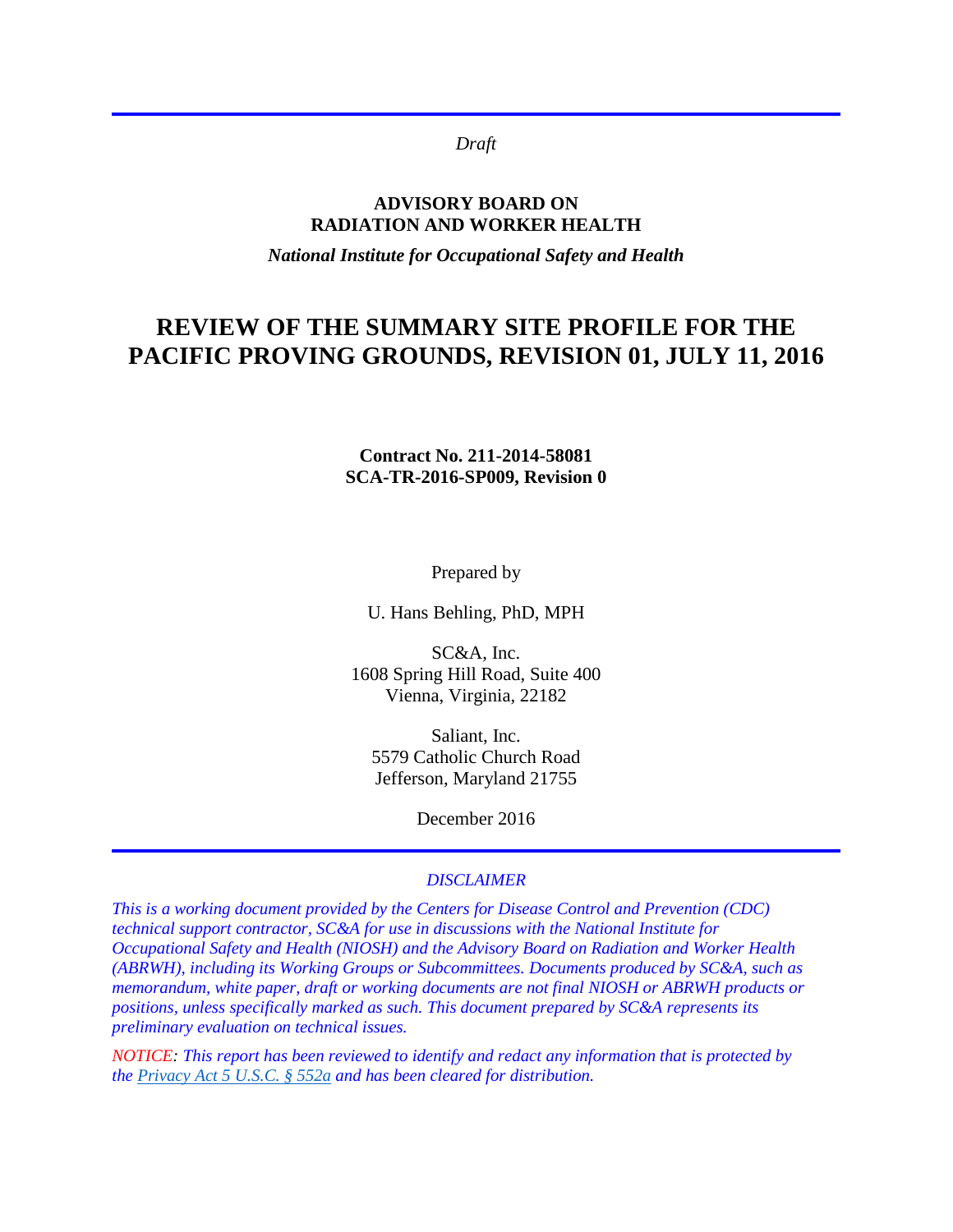*Draft* 

#### **ADVISORY BOARD ON RADIATION AND WORKER HEALTH**

*National Institute for Occupational Safety and Health*

## **REVIEW OF THE SUMMARY SITE PROFILE FOR THE PACIFIC PROVING GROUNDS, REVISION 01, JULY 11, 2016**

#### **Contract No. 211-2014-58081 SCA-TR-2016-SP009, Revision 0**

Prepared by

U. Hans Behling, PhD, MPH

SC&A, Inc. 1608 Spring Hill Road, Suite 400 Vienna, Virginia, 22182

Saliant, Inc. 5579 Catholic Church Road Jefferson, Maryland 21755

December 2016

#### *DISCLAIMER*

*This is a working document provided by the Centers for Disease Control and Prevention (CDC) technical support contractor, SC&A for use in discussions with the National Institute for Occupational Safety and Health (NIOSH) and the Advisory Board on Radiation and Worker Health (ABRWH), including its Working Groups or Subcommittees. Documents produced by SC&A, such as memorandum, white paper, draft or working documents are not final NIOSH or ABRWH products or positions, unless specifically marked as such. This document prepared by SC&A represents its preliminary evaluation on technical issues.* 

*NOTICE: This report has been reviewed to identify and redact any information that is protected by the [Privacy Act 5 U.S.C. § 552a](http://www.justice.gov/opcl/privacy-act-1974) and has been cleared for distribution.*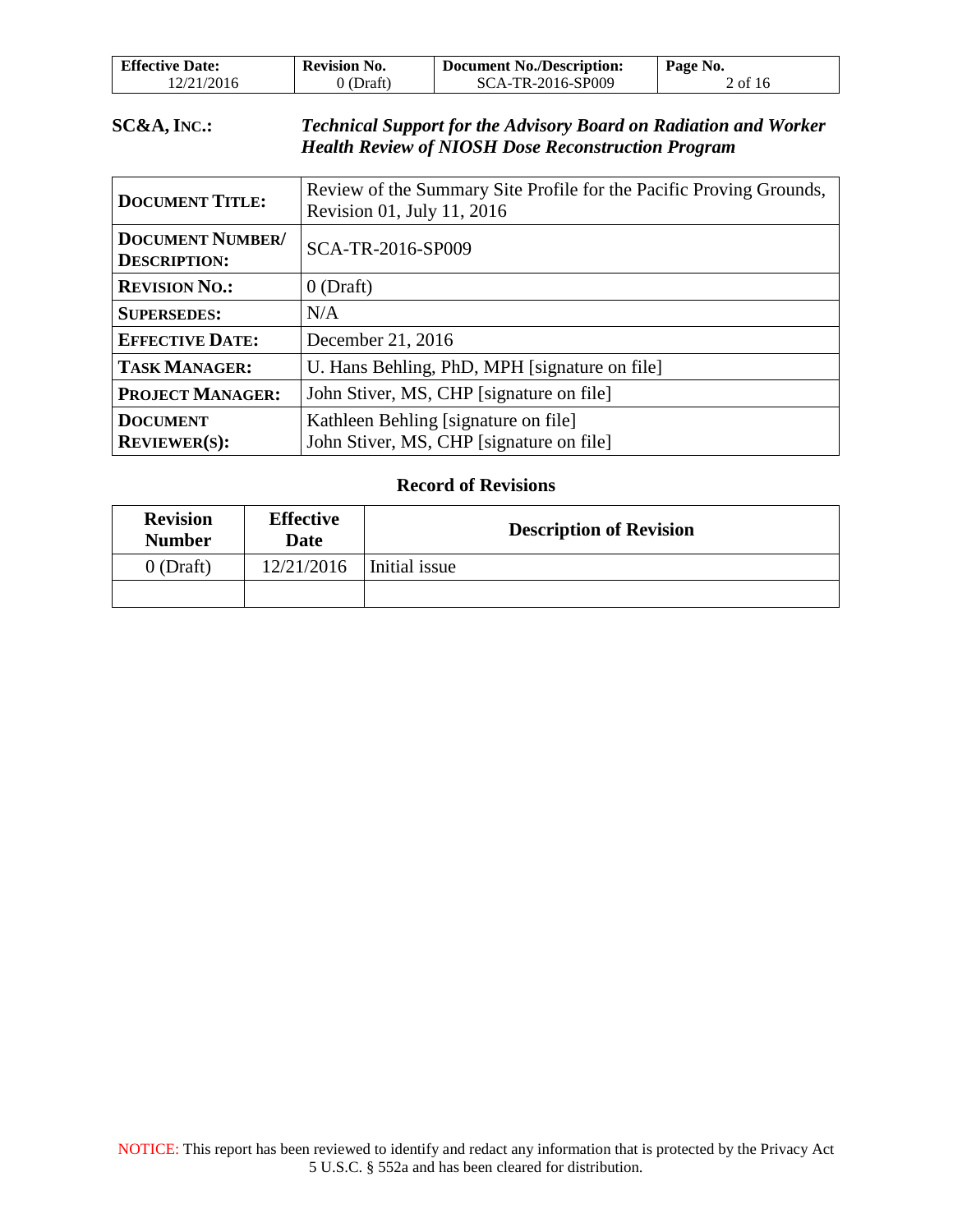| <b>Effective Date:</b> | <b>Revision No.</b> | <b>Document No./Description:</b> | Page No. |
|------------------------|---------------------|----------------------------------|----------|
| 12/21/2016             | (Draft)             | SCA-TR-2016-SP009                | 2 of 16  |

#### **SC&A, INC.:** *Technical Support for the Advisory Board on Radiation and Worker Health Review of NIOSH Dose Reconstruction Program*

| <b>DOCUMENT TITLE:</b>                         | Review of the Summary Site Profile for the Pacific Proving Grounds,<br>Revision 01, July 11, 2016 |  |
|------------------------------------------------|---------------------------------------------------------------------------------------------------|--|
| <b>DOCUMENT NUMBER/</b><br><b>DESCRIPTION:</b> | SCA-TR-2016-SP009                                                                                 |  |
| <b>REVISION NO.:</b>                           | $0$ (Draft)                                                                                       |  |
| <b>SUPERSEDES:</b>                             | N/A                                                                                               |  |
| <b>EFFECTIVE DATE:</b>                         | December 21, 2016                                                                                 |  |
| <b>TASK MANAGER:</b>                           | U. Hans Behling, PhD, MPH [signature on file]                                                     |  |
| <b>PROJECT MANAGER:</b>                        | John Stiver, MS, CHP [signature on file]                                                          |  |
| <b>DOCUMENT</b><br><b>REVIEWER(S):</b>         | Kathleen Behling [signature on file]<br>John Stiver, MS, CHP [signature on file]                  |  |

#### **Record of Revisions**

| <b>Revision</b><br><b>Number</b> | <b>Effective</b><br>Date | <b>Description of Revision</b> |
|----------------------------------|--------------------------|--------------------------------|
| $0$ (Draft)                      | 12/21/2016               | Initial issue                  |
|                                  |                          |                                |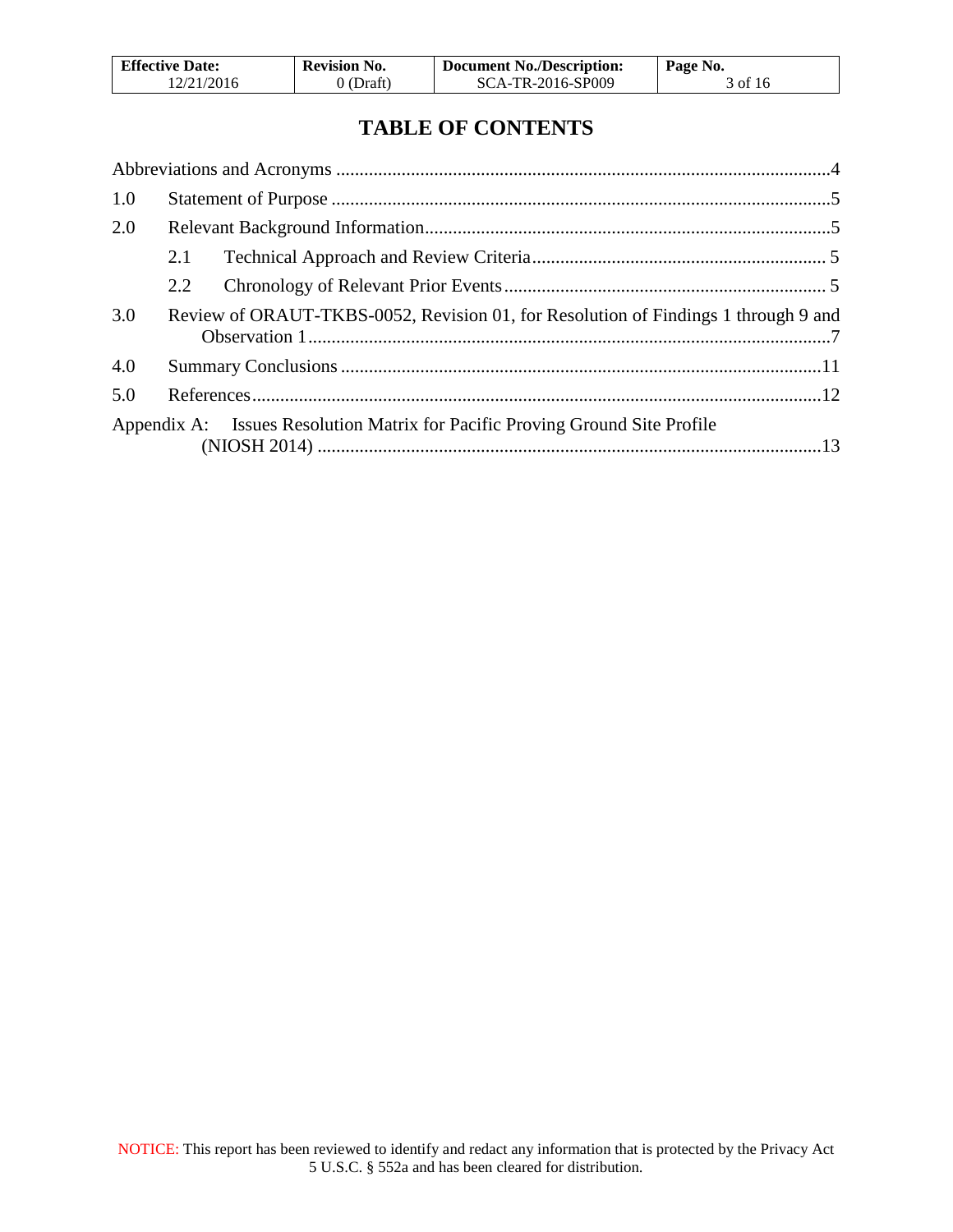| <b>Effective Date:</b> | <b>Revision No.</b> | <b>Document No./Description:</b> | Page No. |
|------------------------|---------------------|----------------------------------|----------|
| 12/21/2016             | $0$ (Draft)         | SCA-TR-2016-SP009                | 3 of 16  |

# **TABLE OF CONTENTS**

| 1.0 |                                                                                    |  |
|-----|------------------------------------------------------------------------------------|--|
| 2.0 |                                                                                    |  |
|     | 2.1                                                                                |  |
|     | 2.2                                                                                |  |
| 3.0 | Review of ORAUT-TKBS-0052, Revision 01, for Resolution of Findings 1 through 9 and |  |
| 4.0 |                                                                                    |  |
| 5.0 |                                                                                    |  |
|     | Appendix A: Issues Resolution Matrix for Pacific Proving Ground Site Profile       |  |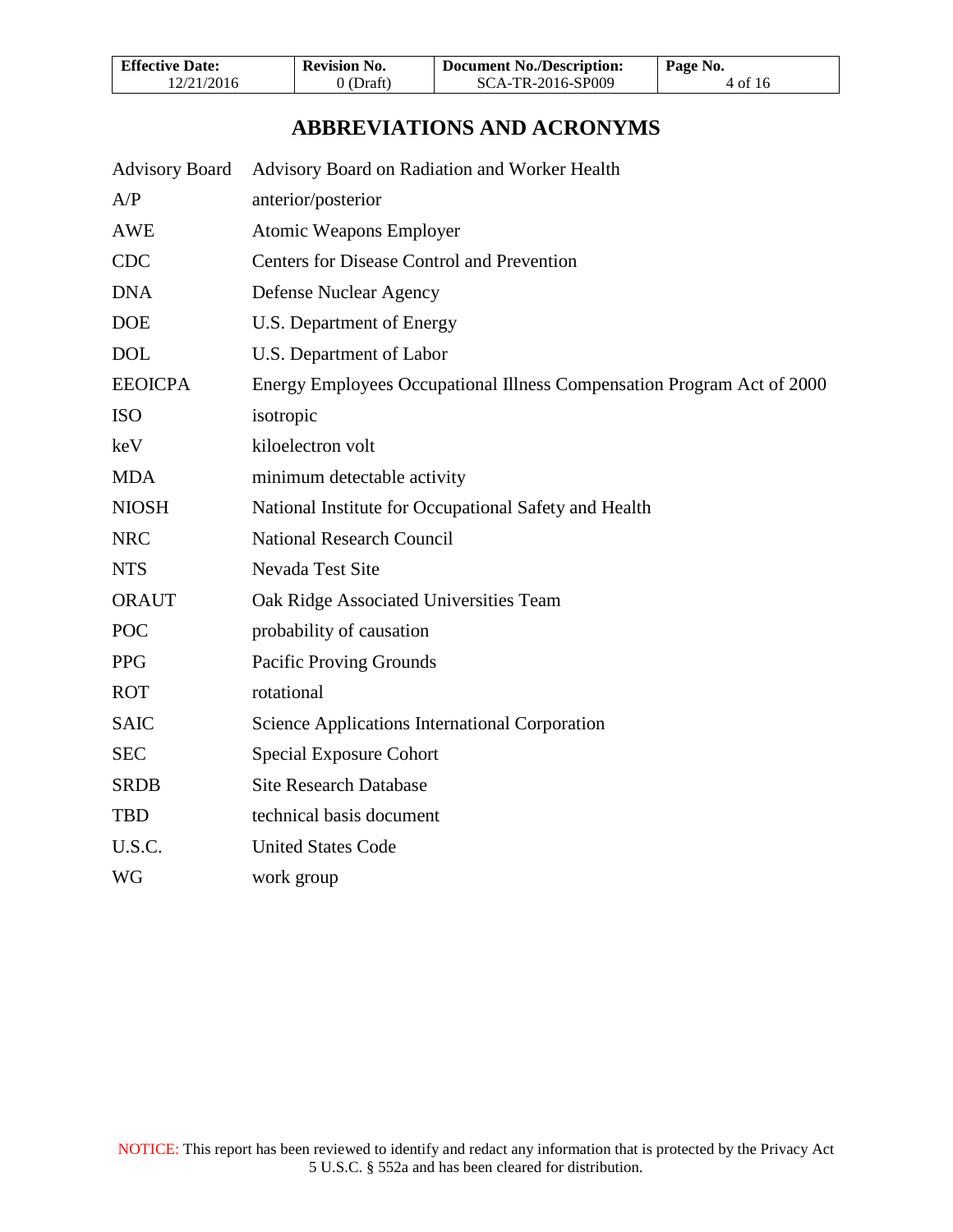| <b>Effective Date:</b> | <b>Revision No.</b> | Document No./Description: | Page No. |
|------------------------|---------------------|---------------------------|----------|
| 12/21/2016             | 0 (Draft)           | SCA-TR-2016-SP009         | 4 of 16  |

## **ABBREVIATIONS AND ACRONYMS**

<span id="page-3-0"></span>

| <b>Advisory Board</b> | Advisory Board on Radiation and Worker Health                          |
|-----------------------|------------------------------------------------------------------------|
| A/P                   | anterior/posterior                                                     |
| <b>AWE</b>            | Atomic Weapons Employer                                                |
| <b>CDC</b>            | <b>Centers for Disease Control and Prevention</b>                      |
| <b>DNA</b>            | Defense Nuclear Agency                                                 |
| <b>DOE</b>            | U.S. Department of Energy                                              |
| <b>DOL</b>            | U.S. Department of Labor                                               |
| <b>EEOICPA</b>        | Energy Employees Occupational Illness Compensation Program Act of 2000 |
| <b>ISO</b>            | isotropic                                                              |
| keV                   | kiloelectron volt                                                      |
| <b>MDA</b>            | minimum detectable activity                                            |
| <b>NIOSH</b>          | National Institute for Occupational Safety and Health                  |
| <b>NRC</b>            | <b>National Research Council</b>                                       |
| <b>NTS</b>            | Nevada Test Site                                                       |
| <b>ORAUT</b>          | Oak Ridge Associated Universities Team                                 |
| POC                   | probability of causation                                               |
| <b>PPG</b>            | Pacific Proving Grounds                                                |
| <b>ROT</b>            | rotational                                                             |
| <b>SAIC</b>           | Science Applications International Corporation                         |
| <b>SEC</b>            | <b>Special Exposure Cohort</b>                                         |
| <b>SRDB</b>           | <b>Site Research Database</b>                                          |
| <b>TBD</b>            | technical basis document                                               |
| U.S.C.                | <b>United States Code</b>                                              |
| <b>WG</b>             | work group                                                             |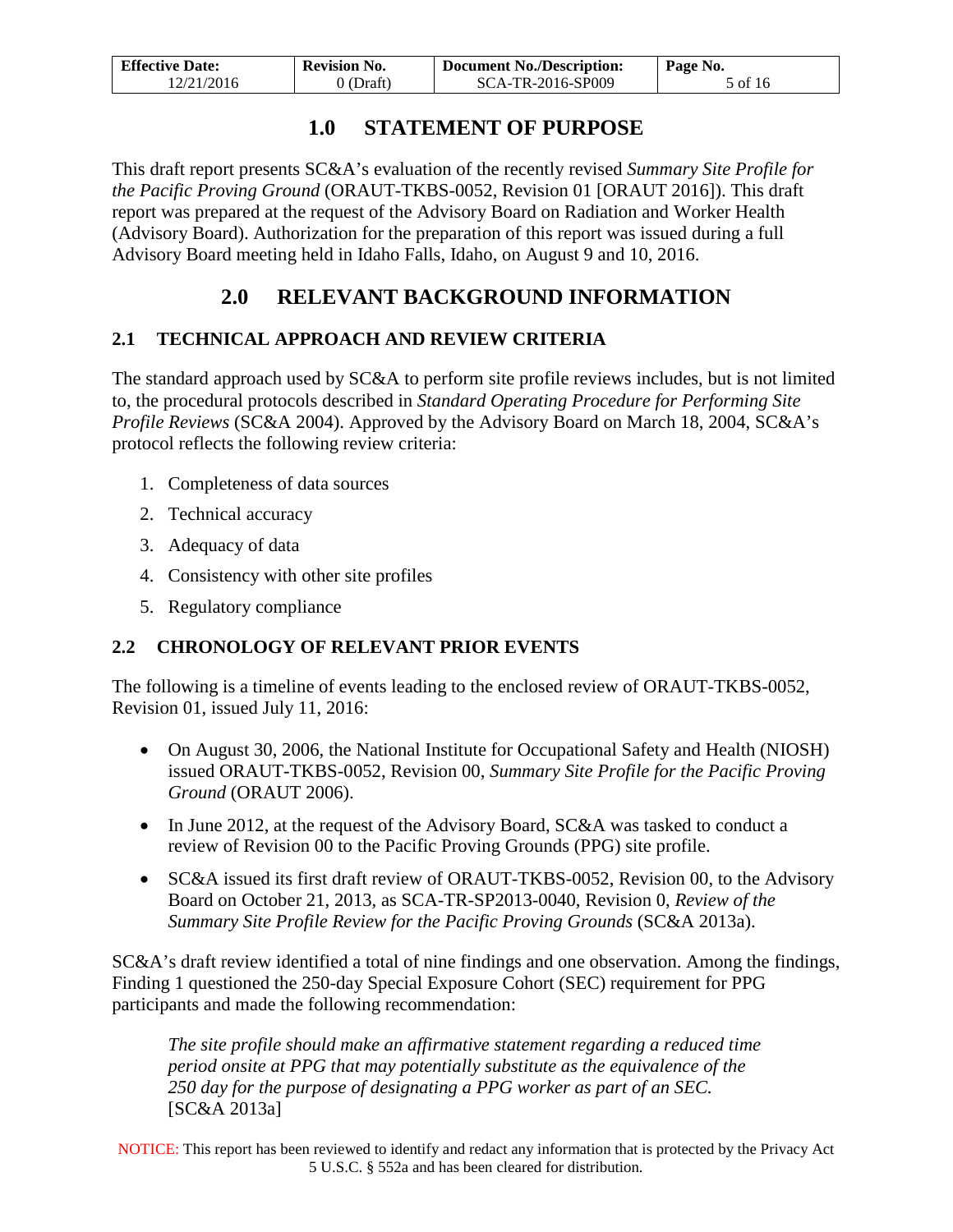| <b>Effective Date:</b> | <b>Revision No.</b> | <b>Document No./Description:</b> | Page No. |
|------------------------|---------------------|----------------------------------|----------|
| 12/21/2016             | 0 (Draft)           | SCA-TR-2016-SP009                | 5 of 16  |

### **1.0 STATEMENT OF PURPOSE**

<span id="page-4-0"></span>This draft report presents SC&A's evaluation of the recently revised *Summary Site Profile for the Pacific Proving Ground* (ORAUT-TKBS-0052, Revision 01 [ORAUT 2016]). This draft report was prepared at the request of the Advisory Board on Radiation and Worker Health (Advisory Board). Authorization for the preparation of this report was issued during a full Advisory Board meeting held in Idaho Falls, Idaho, on August 9 and 10, 2016.

# **2.0 RELEVANT BACKGROUND INFORMATION**

#### <span id="page-4-2"></span><span id="page-4-1"></span>**2.1 TECHNICAL APPROACH AND REVIEW CRITERIA**

The standard approach used by SC&A to perform site profile reviews includes, but is not limited to, the procedural protocols described in *Standard Operating Procedure for Performing Site Profile Reviews* (SC&A 2004). Approved by the Advisory Board on March 18, 2004, SC&A's protocol reflects the following review criteria:

- 1. Completeness of data sources
- 2. Technical accuracy
- 3. Adequacy of data
- 4. Consistency with other site profiles
- 5. Regulatory compliance

#### <span id="page-4-3"></span>**2.2 CHRONOLOGY OF RELEVANT PRIOR EVENTS**

The following is a timeline of events leading to the enclosed review of ORAUT-TKBS-0052, Revision 01, issued July 11, 2016:

- On August 30, 2006, the National Institute for Occupational Safety and Health (NIOSH) issued ORAUT-TKBS-0052, Revision 00, *Summary Site Profile for the Pacific Proving Ground* (ORAUT 2006).
- In June 2012, at the request of the Advisory Board, SC&A was tasked to conduct a review of Revision 00 to the Pacific Proving Grounds (PPG) site profile.
- SC&A issued its first draft review of ORAUT-TKBS-0052, Revision 00, to the Advisory Board on October 21, 2013, as SCA-TR-SP2013-0040, Revision 0, *Review of the Summary Site Profile Review for the Pacific Proving Grounds* (SC&A 2013a).

SC&A's draft review identified a total of nine findings and one observation. Among the findings, Finding 1 questioned the 250-day Special Exposure Cohort (SEC) requirement for PPG participants and made the following recommendation:

*The site profile should make an affirmative statement regarding a reduced time period onsite at PPG that may potentially substitute as the equivalence of the 250 day for the purpose of designating a PPG worker as part of an SEC.*  [SC&A 2013a]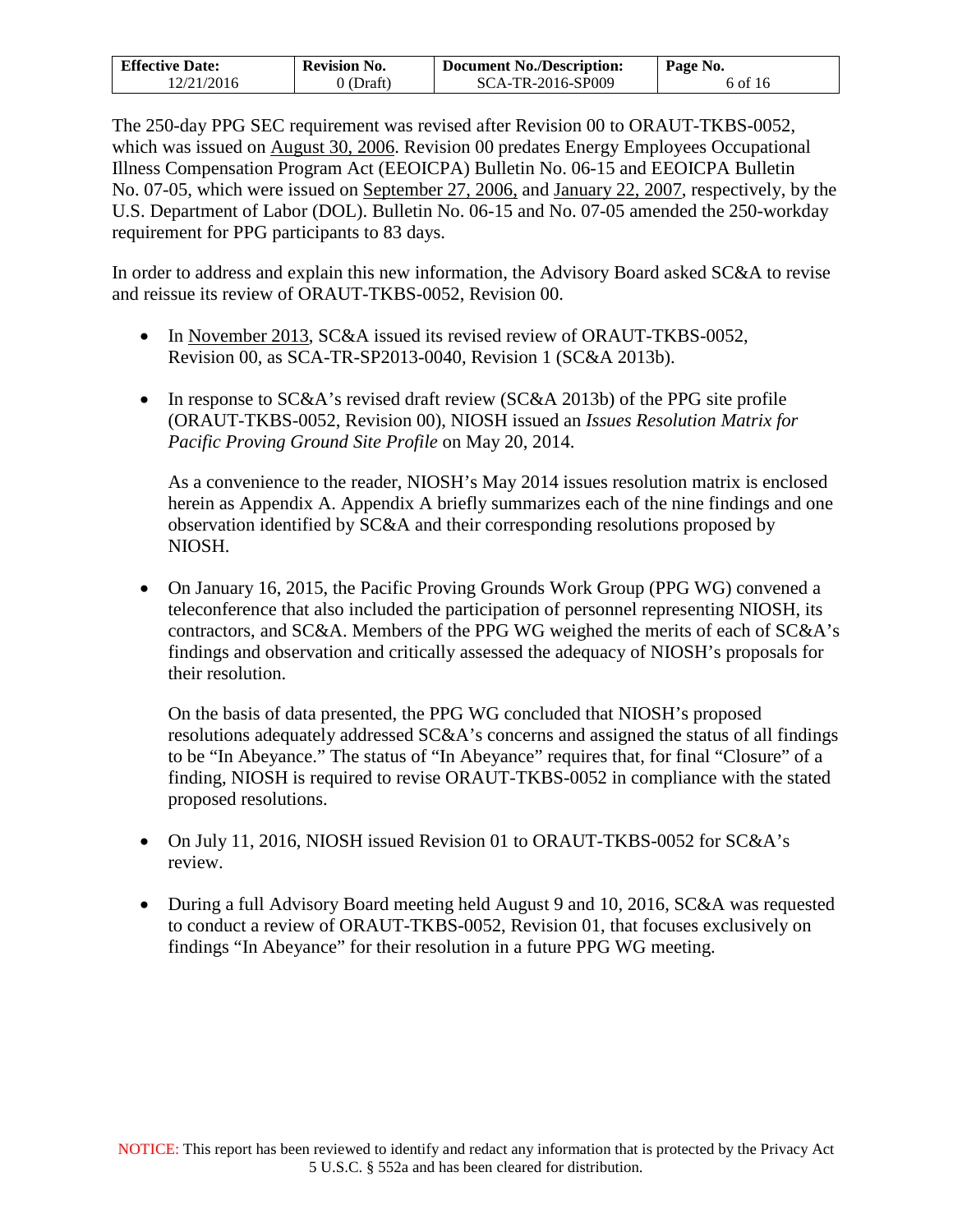| <b>Effective Date:</b> | <b>Revision No.</b> | <b>Document No./Description:</b> | Page No. |
|------------------------|---------------------|----------------------------------|----------|
| 12/21/2016             | $0$ (Draft)         | SCA-TR-2016-SP009                | 6 of 16  |

The 250-day PPG SEC requirement was revised after Revision 00 to ORAUT-TKBS-0052, which was issued on August 30, 2006. Revision 00 predates Energy Employees Occupational Illness Compensation Program Act (EEOICPA) Bulletin No. 06-15 and EEOICPA Bulletin No. 07-05, which were issued on September 27, 2006, and January 22, 2007, respectively, by the U.S. Department of Labor (DOL). Bulletin No. 06-15 and No. 07-05 amended the 250-workday requirement for PPG participants to 83 days.

In order to address and explain this new information, the Advisory Board asked SC&A to revise and reissue its review of ORAUT-TKBS-0052, Revision 00.

- In November 2013, SC&A issued its revised review of ORAUT-TKBS-0052, Revision 00, as SCA-TR-SP2013-0040, Revision 1 (SC&A 2013b).
- In response to SC&A's revised draft review (SC&A 2013b) of the PPG site profile (ORAUT-TKBS-0052, Revision 00), NIOSH issued an *Issues Resolution Matrix for Pacific Proving Ground Site Profile* on May 20, 2014.

As a convenience to the reader, NIOSH's May 2014 issues resolution matrix is enclosed herein as Appendix A. Appendix A briefly summarizes each of the nine findings and one observation identified by SC&A and their corresponding resolutions proposed by NIOSH.

• On January 16, 2015, the Pacific Proving Grounds Work Group (PPG WG) convened a teleconference that also included the participation of personnel representing NIOSH, its contractors, and SC&A. Members of the PPG WG weighed the merits of each of SC&A's findings and observation and critically assessed the adequacy of NIOSH's proposals for their resolution.

On the basis of data presented, the PPG WG concluded that NIOSH's proposed resolutions adequately addressed SC&A's concerns and assigned the status of all findings to be "In Abeyance." The status of "In Abeyance" requires that, for final "Closure" of a finding, NIOSH is required to revise ORAUT-TKBS-0052 in compliance with the stated proposed resolutions.

- On July 11, 2016, NIOSH issued Revision 01 to ORAUT-TKBS-0052 for SC&A's review.
- During a full Advisory Board meeting held August 9 and 10, 2016, SC&A was requested to conduct a review of ORAUT-TKBS-0052, Revision 01, that focuses exclusively on findings "In Abeyance" for their resolution in a future PPG WG meeting.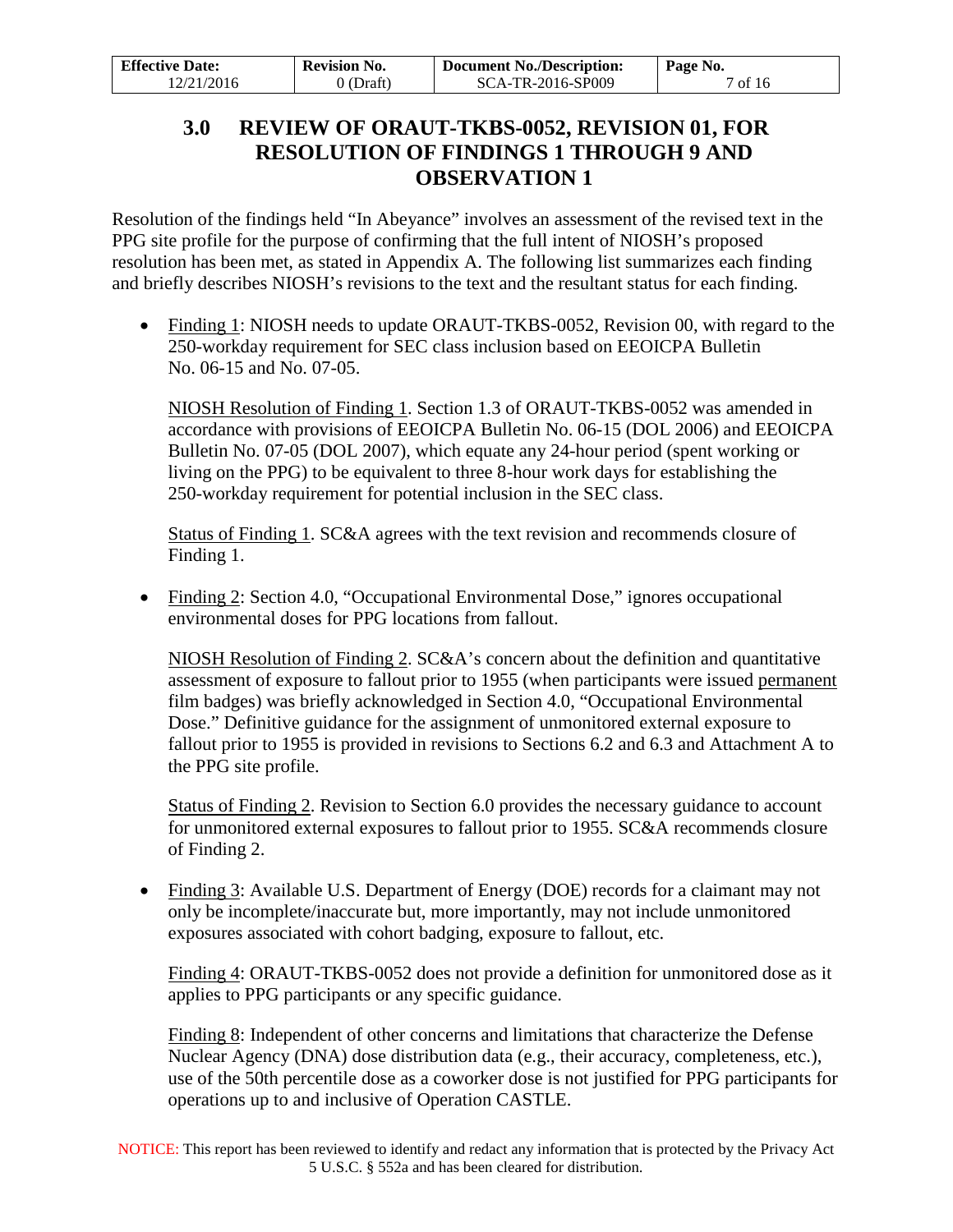<span id="page-6-0"></span>

| <b>Effective Date:</b> | <b>Revision No.</b> | <b>Document No./Description:</b> | Page No. |
|------------------------|---------------------|----------------------------------|----------|
| 12/21/2016             | 0 (Draft)           | SCA-TR-2016-SP009                | 7 of 16  |

### **3.0 REVIEW OF ORAUT-TKBS-0052, REVISION 01, FOR RESOLUTION OF FINDINGS 1 THROUGH 9 AND OBSERVATION 1**

Resolution of the findings held "In Abeyance" involves an assessment of the revised text in the PPG site profile for the purpose of confirming that the full intent of NIOSH's proposed resolution has been met, as stated in Appendix A. The following list summarizes each finding and briefly describes NIOSH's revisions to the text and the resultant status for each finding.

• Finding 1: NIOSH needs to update ORAUT-TKBS-0052, Revision 00, with regard to the 250-workday requirement for SEC class inclusion based on EEOICPA Bulletin No. 06-15 and No. 07-05.

NIOSH Resolution of Finding 1. Section 1.3 of ORAUT-TKBS-0052 was amended in accordance with provisions of EEOICPA Bulletin No. 06-15 (DOL 2006) and EEOICPA Bulletin No. 07-05 (DOL 2007), which equate any 24-hour period (spent working or living on the PPG) to be equivalent to three 8-hour work days for establishing the 250-workday requirement for potential inclusion in the SEC class.

Status of Finding 1. SC&A agrees with the text revision and recommends closure of Finding 1.

• Finding 2: Section 4.0, "Occupational Environmental Dose," ignores occupational environmental doses for PPG locations from fallout.

NIOSH Resolution of Finding 2. SC&A's concern about the definition and quantitative assessment of exposure to fallout prior to 1955 (when participants were issued permanent film badges) was briefly acknowledged in Section 4.0, "Occupational Environmental Dose." Definitive guidance for the assignment of unmonitored external exposure to fallout prior to 1955 is provided in revisions to Sections 6.2 and 6.3 and Attachment A to the PPG site profile.

Status of Finding 2. Revision to Section 6.0 provides the necessary guidance to account for unmonitored external exposures to fallout prior to 1955. SC&A recommends closure of Finding 2.

• Finding 3: Available U.S. Department of Energy (DOE) records for a claimant may not only be incomplete/inaccurate but, more importantly, may not include unmonitored exposures associated with cohort badging, exposure to fallout, etc.

Finding 4: ORAUT-TKBS-0052 does not provide a definition for unmonitored dose as it applies to PPG participants or any specific guidance.

Finding 8: Independent of other concerns and limitations that characterize the Defense Nuclear Agency (DNA) dose distribution data (e.g., their accuracy, completeness, etc.), use of the 50th percentile dose as a coworker dose is not justified for PPG participants for operations up to and inclusive of Operation CASTLE.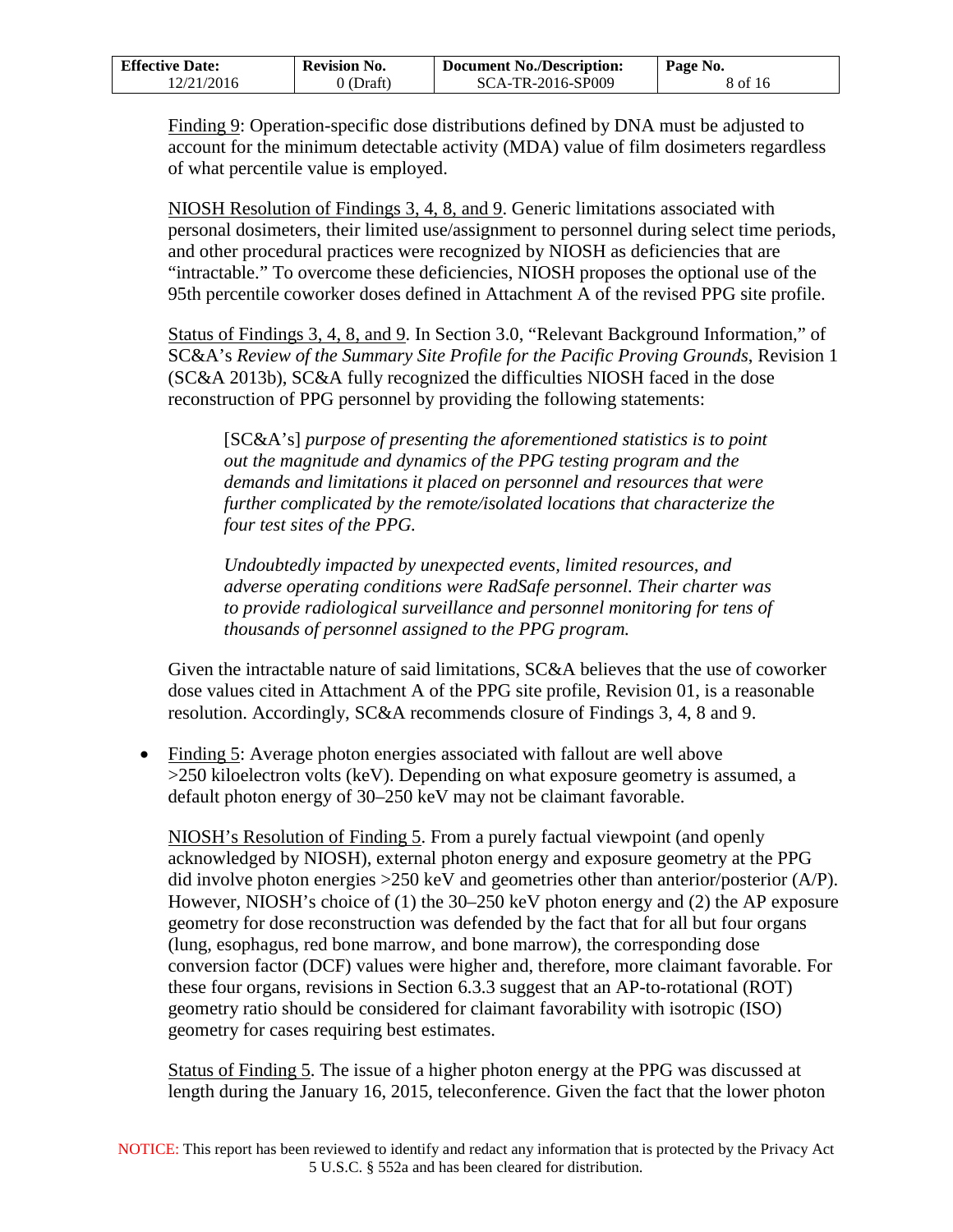| <b>Effective Date:</b> | <b>Revision No.</b> | <b>Document No./Description:</b> | Page No. |
|------------------------|---------------------|----------------------------------|----------|
| 12/21/2016             | 9 (Draft)           | SCA-TR-2016-SP009                | 8 of 16  |

Finding 9: Operation-specific dose distributions defined by DNA must be adjusted to account for the minimum detectable activity (MDA) value of film dosimeters regardless of what percentile value is employed.

NIOSH Resolution of Findings 3, 4, 8, and 9. Generic limitations associated with personal dosimeters, their limited use/assignment to personnel during select time periods, and other procedural practices were recognized by NIOSH as deficiencies that are "intractable." To overcome these deficiencies, NIOSH proposes the optional use of the 95th percentile coworker doses defined in Attachment A of the revised PPG site profile.

Status of Findings 3, 4, 8, and 9. In Section 3.0, "Relevant Background Information," of SC&A's *Review of the Summary Site Profile for the Pacific Proving Grounds*, Revision 1 (SC&A 2013b), SC&A fully recognized the difficulties NIOSH faced in the dose reconstruction of PPG personnel by providing the following statements:

[SC&A's] *purpose of presenting the aforementioned statistics is to point out the magnitude and dynamics of the PPG testing program and the demands and limitations it placed on personnel and resources that were further complicated by the remote/isolated locations that characterize the four test sites of the PPG.*

*Undoubtedly impacted by unexpected events, limited resources, and adverse operating conditions were RadSafe personnel. Their charter was to provide radiological surveillance and personnel monitoring for tens of thousands of personnel assigned to the PPG program.* 

Given the intractable nature of said limitations, SC&A believes that the use of coworker dose values cited in Attachment A of the PPG site profile, Revision 01, is a reasonable resolution. Accordingly, SC&A recommends closure of Findings 3, 4, 8 and 9.

• Finding 5: Average photon energies associated with fallout are well above >250 kiloelectron volts (keV). Depending on what exposure geometry is assumed, a default photon energy of 30–250 keV may not be claimant favorable.

NIOSH's Resolution of Finding 5. From a purely factual viewpoint (and openly acknowledged by NIOSH), external photon energy and exposure geometry at the PPG did involve photon energies >250 keV and geometries other than anterior/posterior (A/P). However, NIOSH's choice of (1) the 30–250 keV photon energy and (2) the AP exposure geometry for dose reconstruction was defended by the fact that for all but four organs (lung, esophagus, red bone marrow, and bone marrow), the corresponding dose conversion factor (DCF) values were higher and, therefore, more claimant favorable. For these four organs, revisions in Section 6.3.3 suggest that an AP-to-rotational (ROT) geometry ratio should be considered for claimant favorability with isotropic (ISO) geometry for cases requiring best estimates.

Status of Finding 5. The issue of a higher photon energy at the PPG was discussed at length during the January 16, 2015, teleconference. Given the fact that the lower photon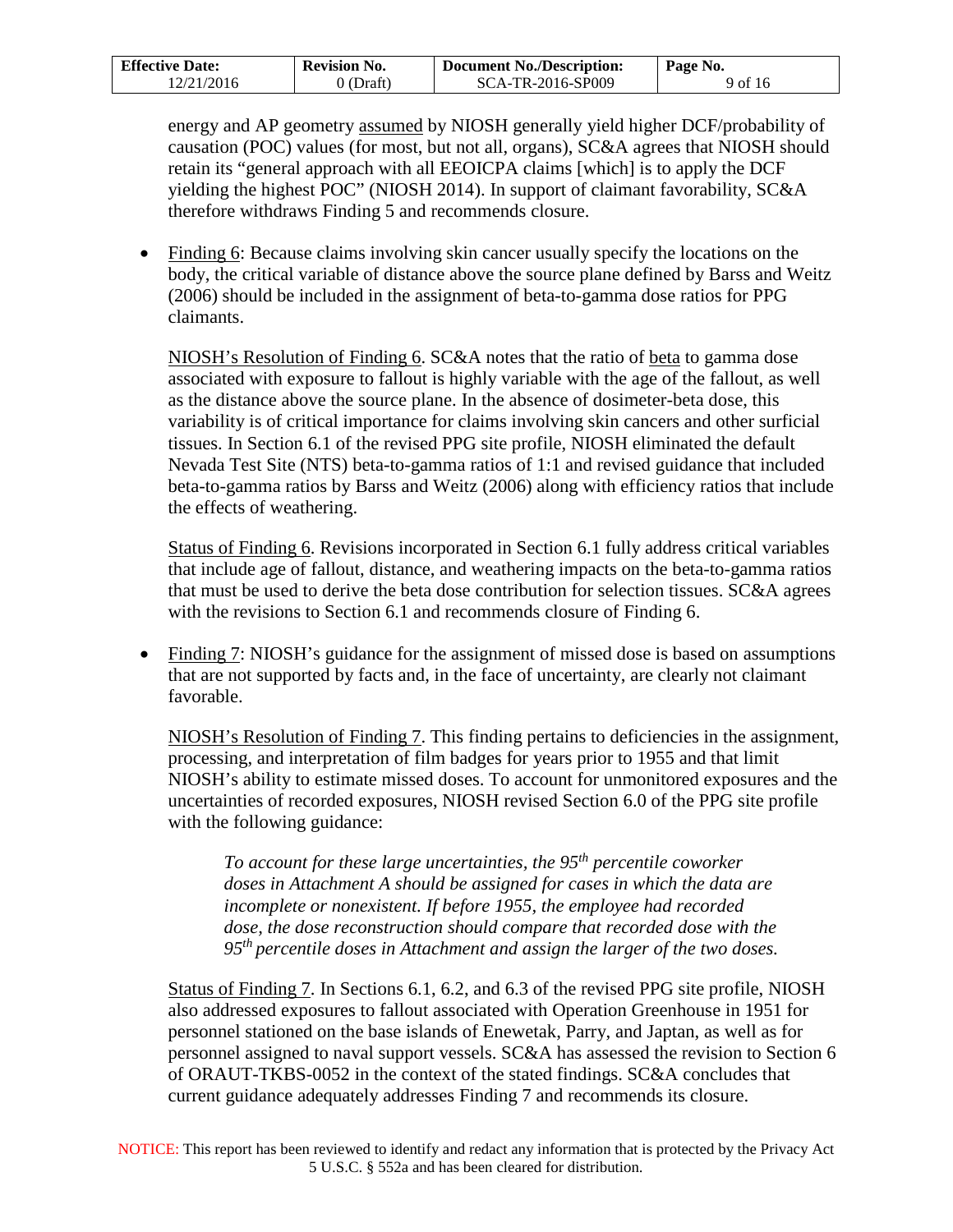| <b>Effective Date:</b> | <b>Revision No.</b> | <b>Document No./Description:</b> | Page No. |
|------------------------|---------------------|----------------------------------|----------|
| 12/21/2016             | 0 (Draft)           | SCA-TR-2016-SP009                | 9 of 16  |

energy and AP geometry assumed by NIOSH generally yield higher DCF/probability of causation (POC) values (for most, but not all, organs), SC&A agrees that NIOSH should retain its "general approach with all EEOICPA claims [which] is to apply the DCF yielding the highest POC" (NIOSH 2014). In support of claimant favorability, SC&A therefore withdraws Finding 5 and recommends closure.

• Finding 6: Because claims involving skin cancer usually specify the locations on the body, the critical variable of distance above the source plane defined by Barss and Weitz (2006) should be included in the assignment of beta-to-gamma dose ratios for PPG claimants.

NIOSH's Resolution of Finding 6. SC&A notes that the ratio of beta to gamma dose associated with exposure to fallout is highly variable with the age of the fallout, as well as the distance above the source plane. In the absence of dosimeter-beta dose, this variability is of critical importance for claims involving skin cancers and other surficial tissues. In Section 6.1 of the revised PPG site profile, NIOSH eliminated the default Nevada Test Site (NTS) beta-to-gamma ratios of 1:1 and revised guidance that included beta-to-gamma ratios by Barss and Weitz (2006) along with efficiency ratios that include the effects of weathering.

Status of Finding 6. Revisions incorporated in Section 6.1 fully address critical variables that include age of fallout, distance, and weathering impacts on the beta-to-gamma ratios that must be used to derive the beta dose contribution for selection tissues. SC&A agrees with the revisions to Section 6.1 and recommends closure of Finding 6.

• Finding 7: NIOSH's guidance for the assignment of missed dose is based on assumptions that are not supported by facts and, in the face of uncertainty, are clearly not claimant favorable.

NIOSH's Resolution of Finding 7. This finding pertains to deficiencies in the assignment, processing, and interpretation of film badges for years prior to 1955 and that limit NIOSH's ability to estimate missed doses. To account for unmonitored exposures and the uncertainties of recorded exposures, NIOSH revised Section 6.0 of the PPG site profile with the following guidance:

*To account for these large uncertainties, the 95th percentile coworker doses in Attachment A should be assigned for cases in which the data are incomplete or nonexistent. If before 1955, the employee had recorded dose, the dose reconstruction should compare that recorded dose with the 95th percentile doses in Attachment and assign the larger of the two doses.* 

Status of Finding 7. In Sections 6.1, 6.2, and 6.3 of the revised PPG site profile, NIOSH also addressed exposures to fallout associated with Operation Greenhouse in 1951 for personnel stationed on the base islands of Enewetak, Parry, and Japtan, as well as for personnel assigned to naval support vessels. SC&A has assessed the revision to Section 6 of ORAUT-TKBS-0052 in the context of the stated findings. SC&A concludes that current guidance adequately addresses Finding 7 and recommends its closure.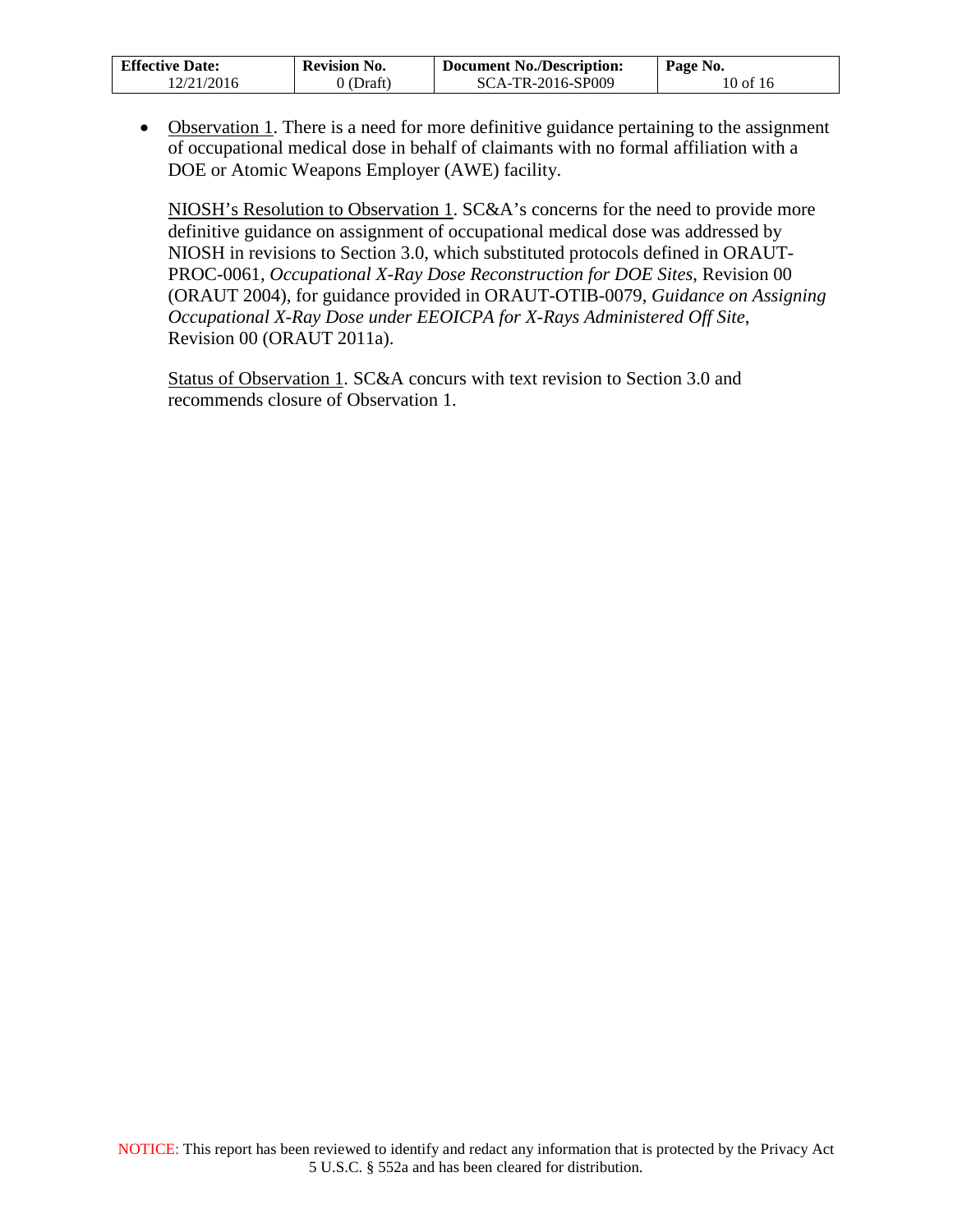| <b>Effective Date:</b> | <b>Revision No.</b> | <b>Document No./Description:</b> | Page No. |
|------------------------|---------------------|----------------------------------|----------|
| 12/21/2016             | 0 (Draft)           | SCA-TR-2016-SP009                | 10 of 16 |

• Observation 1. There is a need for more definitive guidance pertaining to the assignment of occupational medical dose in behalf of claimants with no formal affiliation with a DOE or Atomic Weapons Employer (AWE) facility.

NIOSH's Resolution to Observation 1. SC&A's concerns for the need to provide more definitive guidance on assignment of occupational medical dose was addressed by NIOSH in revisions to Section 3.0, which substituted protocols defined in ORAUT-PROC-0061, *Occupational X-Ray Dose Reconstruction for DOE Sites*, Revision 00 (ORAUT 2004), for guidance provided in ORAUT-OTIB-0079, *Guidance on Assigning Occupational X-Ray Dose under EEOICPA for X-Rays Administered Off Site*, Revision 00 (ORAUT 2011a).

Status of Observation 1. SC&A concurs with text revision to Section 3.0 and recommends closure of Observation 1.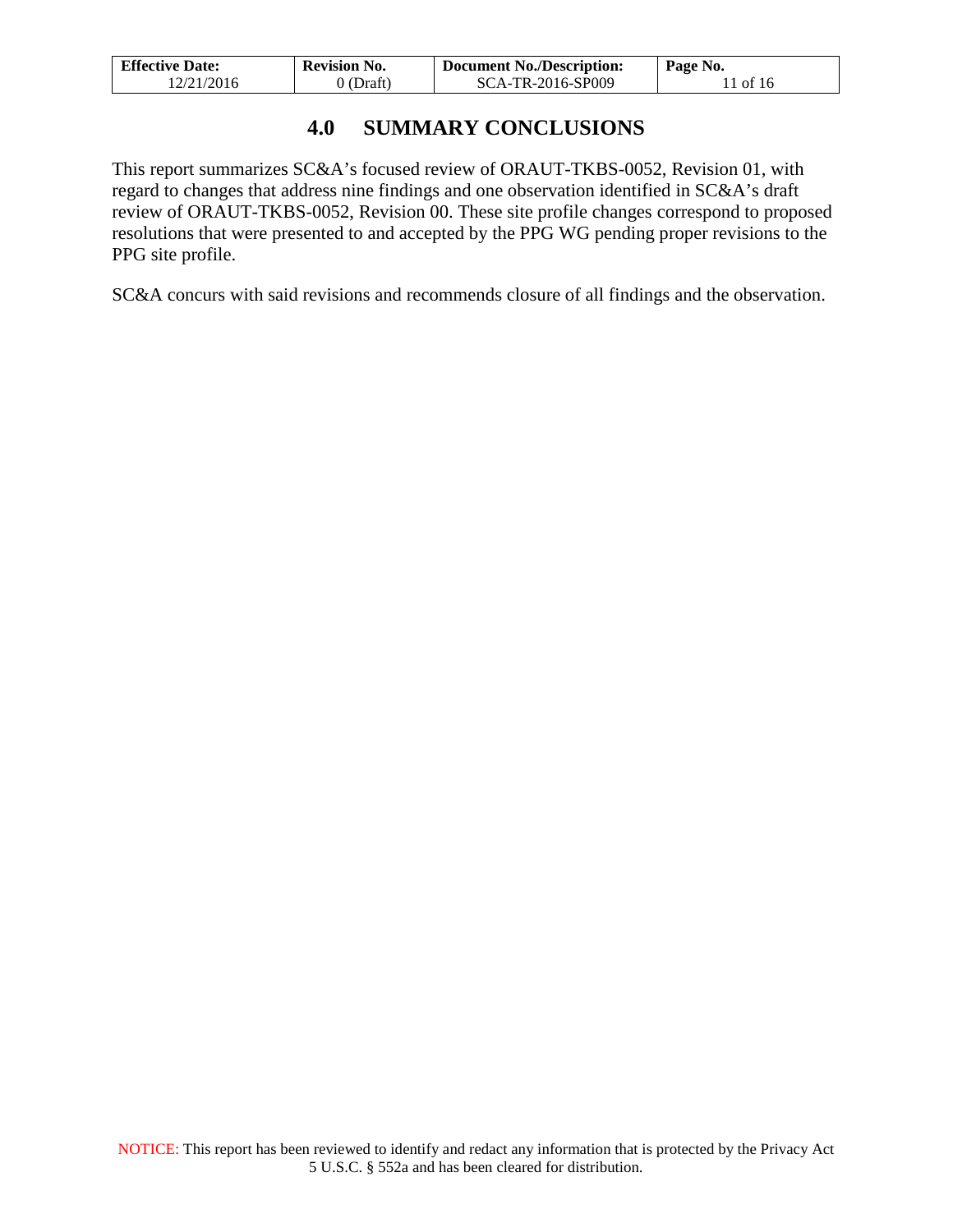| <b>Effective Date:</b> | <b>Revision No.</b> | <b>Document No./Description:</b> | Page No. |
|------------------------|---------------------|----------------------------------|----------|
| 12/21/2016             | 0 (Draft)           | SCA-TR-2016-SP009                | 1 of 16  |

### **4.0 SUMMARY CONCLUSIONS**

<span id="page-10-0"></span>This report summarizes SC&A's focused review of ORAUT-TKBS-0052, Revision 01, with regard to changes that address nine findings and one observation identified in SC&A's draft review of ORAUT-TKBS-0052, Revision 00. These site profile changes correspond to proposed resolutions that were presented to and accepted by the PPG WG pending proper revisions to the PPG site profile.

SC&A concurs with said revisions and recommends closure of all findings and the observation.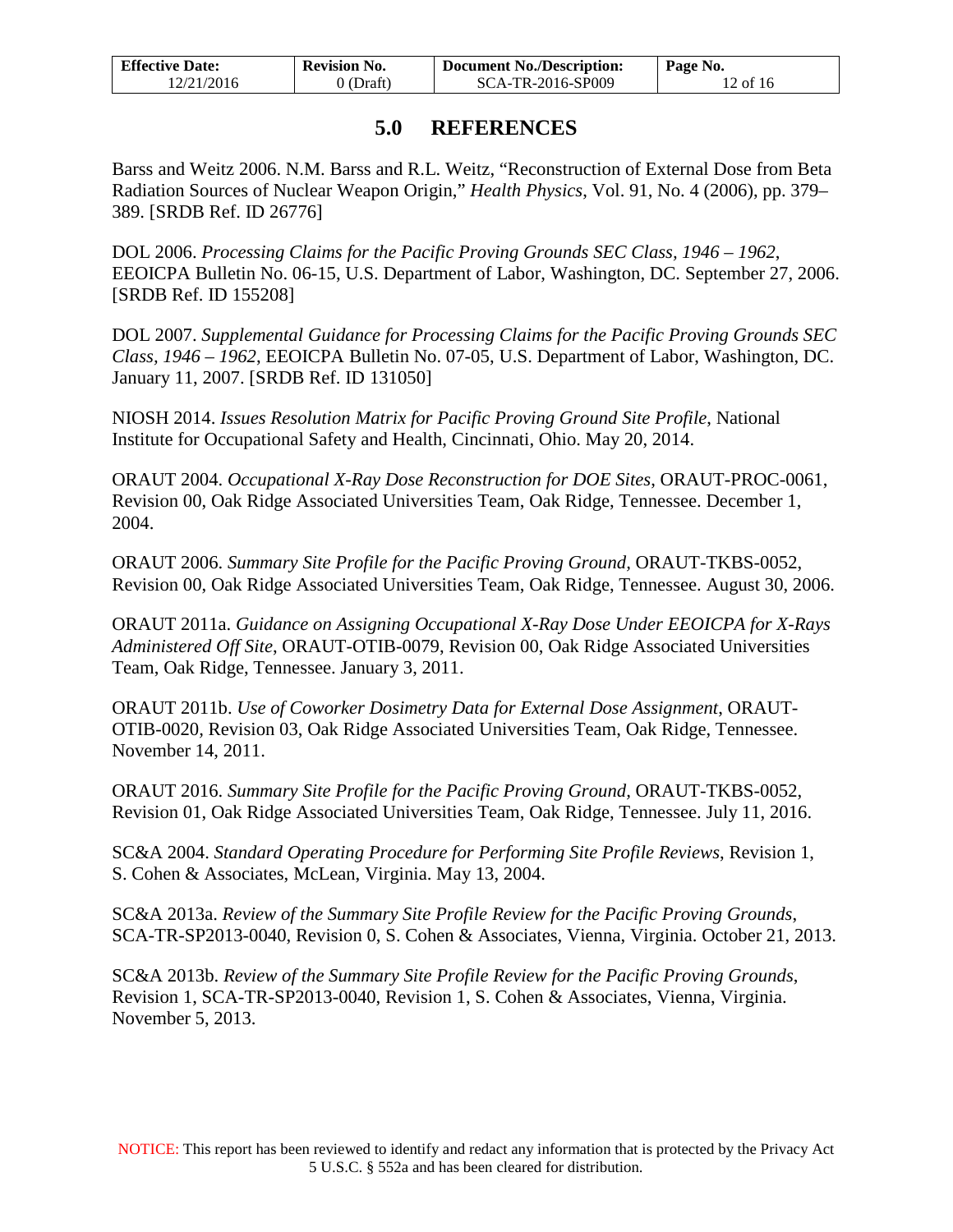| <b>Effective Date:</b> | <b>Revision No.</b> | <b>Document No./Description:</b> | Page No. |
|------------------------|---------------------|----------------------------------|----------|
| 12/21/2016             | $0$ (Draft)         | SCA-TR-2016-SP009                | 12 of 16 |

#### **5.0 REFERENCES**

<span id="page-11-0"></span>Barss and Weitz 2006. N.M. Barss and R.L. Weitz, "Reconstruction of External Dose from Beta Radiation Sources of Nuclear Weapon Origin," *Health Physics*, Vol. 91, No. 4 (2006), pp. 379*–* 389. [SRDB Ref. ID 26776]

DOL 2006. *Processing Claims for the Pacific Proving Grounds SEC Class, 1946 – 1962*, EEOICPA Bulletin No. 06-15, U.S. Department of Labor, Washington, DC. September 27, 2006. [SRDB Ref. ID 155208]

DOL 2007. *Supplemental Guidance for Processing Claims for the Pacific Proving Grounds SEC Class, 1946 – 1962*, EEOICPA Bulletin No. 07-05, U.S. Department of Labor, Washington, DC. January 11, 2007. [SRDB Ref. ID 131050]

NIOSH 2014. *Issues Resolution Matrix for Pacific Proving Ground Site Profile*, National Institute for Occupational Safety and Health, Cincinnati, Ohio. May 20, 2014.

ORAUT 2004. *Occupational X-Ray Dose Reconstruction for DOE Sites*, ORAUT-PROC-0061, Revision 00, Oak Ridge Associated Universities Team, Oak Ridge, Tennessee. December 1, 2004.

ORAUT 2006. *Summary Site Profile for the Pacific Proving Ground,* ORAUT-TKBS-0052, Revision 00, Oak Ridge Associated Universities Team, Oak Ridge, Tennessee. August 30, 2006.

ORAUT 2011a. *Guidance on Assigning Occupational X-Ray Dose Under EEOICPA for X-Rays Administered Off Site*, ORAUT-OTIB-0079, Revision 00, Oak Ridge Associated Universities Team, Oak Ridge, Tennessee. January 3, 2011.

ORAUT 2011b. *Use of Coworker Dosimetry Data for External Dose Assignment*, ORAUT-OTIB-0020*,* Revision 03, Oak Ridge Associated Universities Team, Oak Ridge, Tennessee. November 14, 2011.

ORAUT 2016. *Summary Site Profile for the Pacific Proving Ground,* ORAUT-TKBS-0052, Revision 01, Oak Ridge Associated Universities Team, Oak Ridge, Tennessee. July 11, 2016.

SC&A 2004. *Standard Operating Procedure for Performing Site Profile Reviews*, Revision 1, S. Cohen & Associates, McLean, Virginia. May 13, 2004.

SC&A 2013a. *Review of the Summary Site Profile Review for the Pacific Proving Grounds*, SCA-TR-SP2013-0040, Revision 0, S. Cohen & Associates, Vienna, Virginia. October 21, 2013.

SC&A 2013b. *Review of the Summary Site Profile Review for the Pacific Proving Grounds*, Revision 1, SCA-TR-SP2013-0040, Revision 1, S. Cohen & Associates, Vienna, Virginia. November 5, 2013.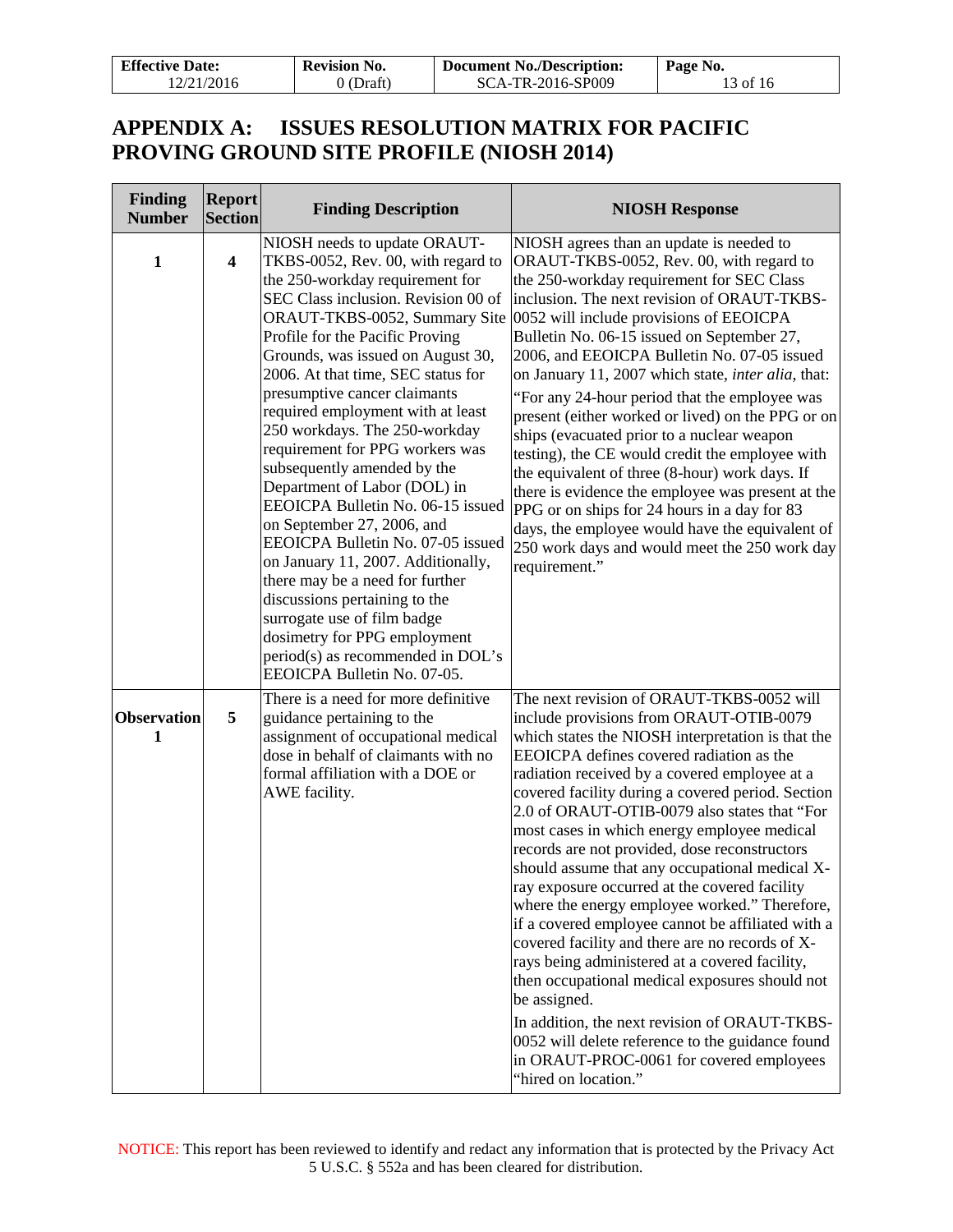| <b>Effective Date:</b> | <b>Revision No.</b> | <b>Document No./Description:</b> | Page No. |
|------------------------|---------------------|----------------------------------|----------|
| 12/21/2016             | 0 (Draft)           | SCA-TR-2016-SP009                | 13 of 16 |

### <span id="page-12-0"></span>**APPENDIX A: ISSUES RESOLUTION MATRIX FOR PACIFIC PROVING GROUND SITE PROFILE (NIOSH 2014)**

| Finding<br><b>Number</b> | <b>Report</b><br><b>Section</b> | <b>Finding Description</b>                                                                                                                                                                                                                                                                                                                                                                                                                                                                                                                                                                                                                                                                                                                                                                                              | <b>NIOSH Response</b>                                                                                                                                                                                                                                                                                                                                                                                                                                                                                                                                                                                                                                                                                                                                                                                                                                                                                                                                                                                |
|--------------------------|---------------------------------|-------------------------------------------------------------------------------------------------------------------------------------------------------------------------------------------------------------------------------------------------------------------------------------------------------------------------------------------------------------------------------------------------------------------------------------------------------------------------------------------------------------------------------------------------------------------------------------------------------------------------------------------------------------------------------------------------------------------------------------------------------------------------------------------------------------------------|------------------------------------------------------------------------------------------------------------------------------------------------------------------------------------------------------------------------------------------------------------------------------------------------------------------------------------------------------------------------------------------------------------------------------------------------------------------------------------------------------------------------------------------------------------------------------------------------------------------------------------------------------------------------------------------------------------------------------------------------------------------------------------------------------------------------------------------------------------------------------------------------------------------------------------------------------------------------------------------------------|
| $\mathbf{1}$             | $\overline{\mathbf{4}}$         | NIOSH needs to update ORAUT-<br>TKBS-0052, Rev. 00, with regard to<br>the 250-workday requirement for<br>SEC Class inclusion. Revision 00 of<br>Profile for the Pacific Proving<br>Grounds, was issued on August 30,<br>2006. At that time, SEC status for<br>presumptive cancer claimants<br>required employment with at least<br>250 workdays. The 250-workday<br>requirement for PPG workers was<br>subsequently amended by the<br>Department of Labor (DOL) in<br>EEOICPA Bulletin No. 06-15 issued<br>on September 27, 2006, and<br>EEOICPA Bulletin No. 07-05 issued<br>on January 11, 2007. Additionally,<br>there may be a need for further<br>discussions pertaining to the<br>surrogate use of film badge<br>dosimetry for PPG employment<br>period(s) as recommended in DOL's<br>EEOICPA Bulletin No. 07-05. | NIOSH agrees than an update is needed to<br>ORAUT-TKBS-0052, Rev. 00, with regard to<br>the 250-workday requirement for SEC Class<br>inclusion. The next revision of ORAUT-TKBS-<br>ORAUT-TKBS-0052, Summary Site 0052 will include provisions of EEOICPA<br>Bulletin No. 06-15 issued on September 27,<br>2006, and EEOICPA Bulletin No. 07-05 issued<br>on January 11, 2007 which state, inter alia, that:<br>"For any 24-hour period that the employee was<br>present (either worked or lived) on the PPG or on<br>ships (evacuated prior to a nuclear weapon<br>testing), the CE would credit the employee with<br>the equivalent of three (8-hour) work days. If<br>there is evidence the employee was present at the<br>PPG or on ships for 24 hours in a day for 83<br>days, the employee would have the equivalent of<br>250 work days and would meet the 250 work day<br>requirement."                                                                                                      |
| <b>Observation</b><br>1  | 5                               | There is a need for more definitive<br>guidance pertaining to the<br>assignment of occupational medical<br>dose in behalf of claimants with no<br>formal affiliation with a DOE or<br>AWE facility.                                                                                                                                                                                                                                                                                                                                                                                                                                                                                                                                                                                                                     | The next revision of ORAUT-TKBS-0052 will<br>include provisions from ORAUT-OTIB-0079<br>which states the NIOSH interpretation is that the<br>EEOICPA defines covered radiation as the<br>radiation received by a covered employee at a<br>covered facility during a covered period. Section<br>2.0 of ORAUT-OTIB-0079 also states that "For<br>most cases in which energy employee medical<br>records are not provided, dose reconstructors<br>should assume that any occupational medical X-<br>ray exposure occurred at the covered facility<br>where the energy employee worked." Therefore,<br>if a covered employee cannot be affiliated with a<br>covered facility and there are no records of X-<br>rays being administered at a covered facility,<br>then occupational medical exposures should not<br>be assigned.<br>In addition, the next revision of ORAUT-TKBS-<br>0052 will delete reference to the guidance found<br>in ORAUT-PROC-0061 for covered employees<br>"hired on location." |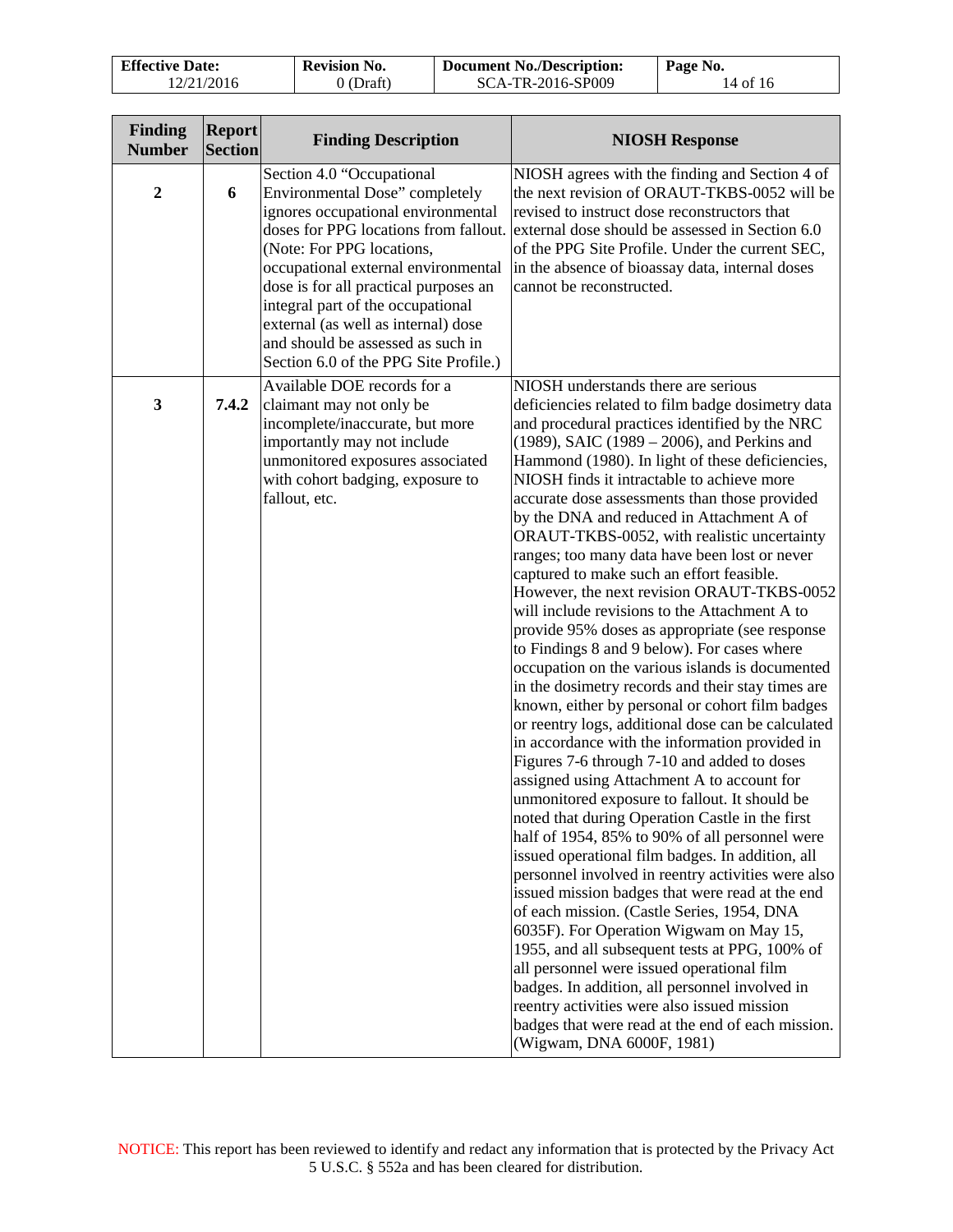| <b>Effective Date:</b> | <b>Revision No.</b> | <b>Document No./Description:</b> | Page No. |
|------------------------|---------------------|----------------------------------|----------|
| 12/21/2016             | 0 (Draft)           | SCA-TR-2016-SP009                | 14 of 16 |

| <b>Finding</b><br><b>Number</b> | <b>Report</b><br><b>Section</b> | <b>Finding Description</b>                                                                                                                                                                                                                                                                                                                                                                                        | <b>NIOSH Response</b>                                                                                                                                                                                                                                                                                                                                                                                                                                                                                                                                                                                                                                                                                                                                                                                                                                                                                                                                                                                                                                                                                                                                                                                                                                                                                                                                                                                                                                                                                                                                                                                                                                                                                                                                                                                      |
|---------------------------------|---------------------------------|-------------------------------------------------------------------------------------------------------------------------------------------------------------------------------------------------------------------------------------------------------------------------------------------------------------------------------------------------------------------------------------------------------------------|------------------------------------------------------------------------------------------------------------------------------------------------------------------------------------------------------------------------------------------------------------------------------------------------------------------------------------------------------------------------------------------------------------------------------------------------------------------------------------------------------------------------------------------------------------------------------------------------------------------------------------------------------------------------------------------------------------------------------------------------------------------------------------------------------------------------------------------------------------------------------------------------------------------------------------------------------------------------------------------------------------------------------------------------------------------------------------------------------------------------------------------------------------------------------------------------------------------------------------------------------------------------------------------------------------------------------------------------------------------------------------------------------------------------------------------------------------------------------------------------------------------------------------------------------------------------------------------------------------------------------------------------------------------------------------------------------------------------------------------------------------------------------------------------------------|
| $\boldsymbol{2}$                | 6                               | Section 4.0 "Occupational<br>Environmental Dose" completely<br>ignores occupational environmental<br>doses for PPG locations from fallout.<br>(Note: For PPG locations,<br>occupational external environmental<br>dose is for all practical purposes an<br>integral part of the occupational<br>external (as well as internal) dose<br>and should be assessed as such in<br>Section 6.0 of the PPG Site Profile.) | NIOSH agrees with the finding and Section 4 of<br>the next revision of ORAUT-TKBS-0052 will be<br>revised to instruct dose reconstructors that<br>external dose should be assessed in Section 6.0<br>of the PPG Site Profile. Under the current SEC,<br>in the absence of bioassay data, internal doses<br>cannot be reconstructed.                                                                                                                                                                                                                                                                                                                                                                                                                                                                                                                                                                                                                                                                                                                                                                                                                                                                                                                                                                                                                                                                                                                                                                                                                                                                                                                                                                                                                                                                        |
| $\mathbf{3}$                    | 7.4.2                           | Available DOE records for a<br>claimant may not only be<br>incomplete/inaccurate, but more<br>importantly may not include<br>unmonitored exposures associated<br>with cohort badging, exposure to<br>fallout, etc.                                                                                                                                                                                                | NIOSH understands there are serious<br>deficiencies related to film badge dosimetry data<br>and procedural practices identified by the NRC<br>$(1989)$ , SAIC $(1989 – 2006)$ , and Perkins and<br>Hammond (1980). In light of these deficiencies,<br>NIOSH finds it intractable to achieve more<br>accurate dose assessments than those provided<br>by the DNA and reduced in Attachment A of<br>ORAUT-TKBS-0052, with realistic uncertainty<br>ranges; too many data have been lost or never<br>captured to make such an effort feasible.<br>However, the next revision ORAUT-TKBS-0052<br>will include revisions to the Attachment A to<br>provide 95% doses as appropriate (see response<br>to Findings 8 and 9 below). For cases where<br>occupation on the various islands is documented<br>in the dosimetry records and their stay times are<br>known, either by personal or cohort film badges<br>or reentry logs, additional dose can be calculated<br>in accordance with the information provided in<br>Figures 7-6 through 7-10 and added to doses<br>assigned using Attachment A to account for<br>unmonitored exposure to fallout. It should be<br>noted that during Operation Castle in the first<br>half of 1954, 85% to 90% of all personnel were<br>issued operational film badges. In addition, all<br>personnel involved in reentry activities were also<br>issued mission badges that were read at the end<br>of each mission. (Castle Series, 1954, DNA<br>6035F). For Operation Wigwam on May 15,<br>1955, and all subsequent tests at PPG, 100% of<br>all personnel were issued operational film<br>badges. In addition, all personnel involved in<br>reentry activities were also issued mission<br>badges that were read at the end of each mission.<br>(Wigwam, DNA 6000F, 1981) |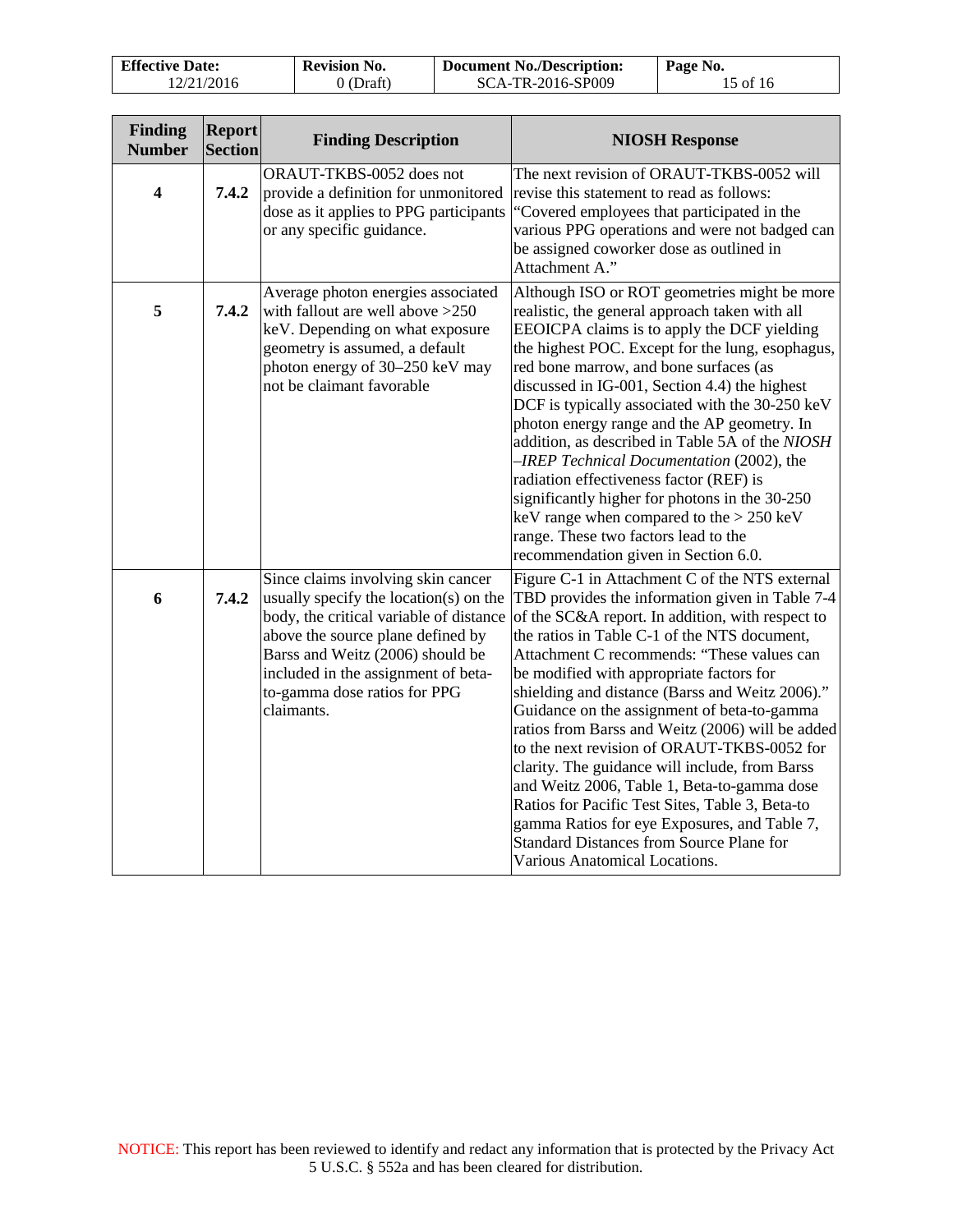| <b>Effective Date:</b> | <b>Revision No.</b> | <b>Document No./Description:</b> | Page No. |
|------------------------|---------------------|----------------------------------|----------|
| 12/21/2016             | 0 (Draft)           | SCA-TR-2016-SP009                | 15 of 16 |

| Finding<br><b>Number</b> | <b>Report</b><br><b>Section</b> | <b>Finding Description</b>                                                                                                                                                                                                                                                            | <b>NIOSH Response</b>                                                                                                                                                                                                                                                                                                                                                                                                                                                                                                                                                                                                                                                                                                                                                                        |
|--------------------------|---------------------------------|---------------------------------------------------------------------------------------------------------------------------------------------------------------------------------------------------------------------------------------------------------------------------------------|----------------------------------------------------------------------------------------------------------------------------------------------------------------------------------------------------------------------------------------------------------------------------------------------------------------------------------------------------------------------------------------------------------------------------------------------------------------------------------------------------------------------------------------------------------------------------------------------------------------------------------------------------------------------------------------------------------------------------------------------------------------------------------------------|
| $\overline{\mathbf{4}}$  | 7.4.2                           | ORAUT-TKBS-0052 does not<br>provide a definition for unmonitored<br>dose as it applies to PPG participants<br>or any specific guidance.                                                                                                                                               | The next revision of ORAUT-TKBS-0052 will<br>revise this statement to read as follows:<br>"Covered employees that participated in the<br>various PPG operations and were not badged can<br>be assigned coworker dose as outlined in<br>Attachment A."                                                                                                                                                                                                                                                                                                                                                                                                                                                                                                                                        |
| 5                        | 7.4.2                           | Average photon energies associated<br>with fallout are well above $>250$<br>keV. Depending on what exposure<br>geometry is assumed, a default<br>photon energy of 30-250 keV may<br>not be claimant favorable                                                                         | Although ISO or ROT geometries might be more<br>realistic, the general approach taken with all<br>EEOICPA claims is to apply the DCF yielding<br>the highest POC. Except for the lung, esophagus,<br>red bone marrow, and bone surfaces (as<br>discussed in IG-001, Section 4.4) the highest<br>DCF is typically associated with the 30-250 keV<br>photon energy range and the AP geometry. In<br>addition, as described in Table 5A of the NIOSH<br>-IREP Technical Documentation (2002), the<br>radiation effectiveness factor (REF) is<br>significantly higher for photons in the 30-250<br>keV range when compared to the $> 250$ keV<br>range. These two factors lead to the<br>recommendation given in Section 6.0.                                                                    |
| 6                        | 7.4.2                           | Since claims involving skin cancer<br>usually specify the location(s) on the<br>body, the critical variable of distance<br>above the source plane defined by<br>Barss and Weitz (2006) should be<br>included in the assignment of beta-<br>to-gamma dose ratios for PPG<br>claimants. | Figure C-1 in Attachment C of the NTS external<br>TBD provides the information given in Table 7-4<br>of the SC&A report. In addition, with respect to<br>the ratios in Table C-1 of the NTS document,<br>Attachment C recommends: "These values can<br>be modified with appropriate factors for<br>shielding and distance (Barss and Weitz 2006)."<br>Guidance on the assignment of beta-to-gamma<br>ratios from Barss and Weitz (2006) will be added<br>to the next revision of ORAUT-TKBS-0052 for<br>clarity. The guidance will include, from Barss<br>and Weitz 2006, Table 1, Beta-to-gamma dose<br>Ratios for Pacific Test Sites, Table 3, Beta-to<br>gamma Ratios for eye Exposures, and Table 7,<br><b>Standard Distances from Source Plane for</b><br>Various Anatomical Locations. |